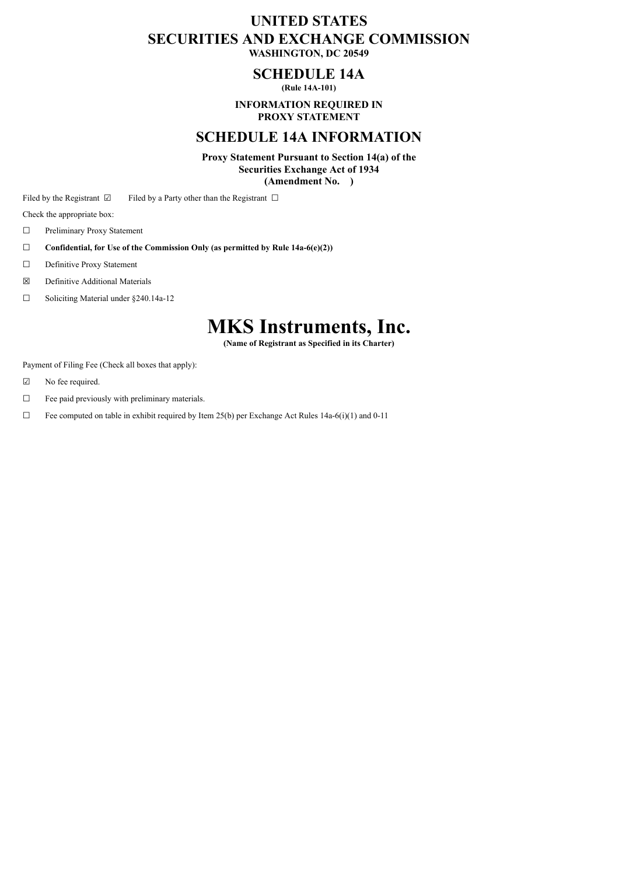## **UNITED STATES SECURITIES AND EXCHANGE COMMISSION WASHINGTON, DC 20549**

# **SCHEDULE 14A**

**(Rule 14A-101)**

**INFORMATION REQUIRED IN PROXY STATEMENT**

### **SCHEDULE 14A INFORMATION**

**Proxy Statement Pursuant to Section 14(a) of the Securities Exchange Act of 1934 (Amendment No. )**

Filed by the Registrant  $\boxdot$  Filed by a Party other than the Registrant  $\Box$ 

Check the appropriate box:

- ☐ Preliminary Proxy Statement
- ☐ **Confidential, for Use of the Commission Only (as permitted by Rule 14a-6(e)(2))**
- □ Definitive Proxy Statement
- ☒ Definitive Additional Materials
- ☐ Soliciting Material under §240.14a-12

# **MKS Instruments, Inc.**

**(Name of Registrant as Specified in its Charter)**

Payment of Filing Fee (Check all boxes that apply):

- ☑ No fee required.
- ☐ Fee paid previously with preliminary materials.
- $\Box$  Fee computed on table in exhibit required by Item 25(b) per Exchange Act Rules 14a-6(i)(1) and 0-11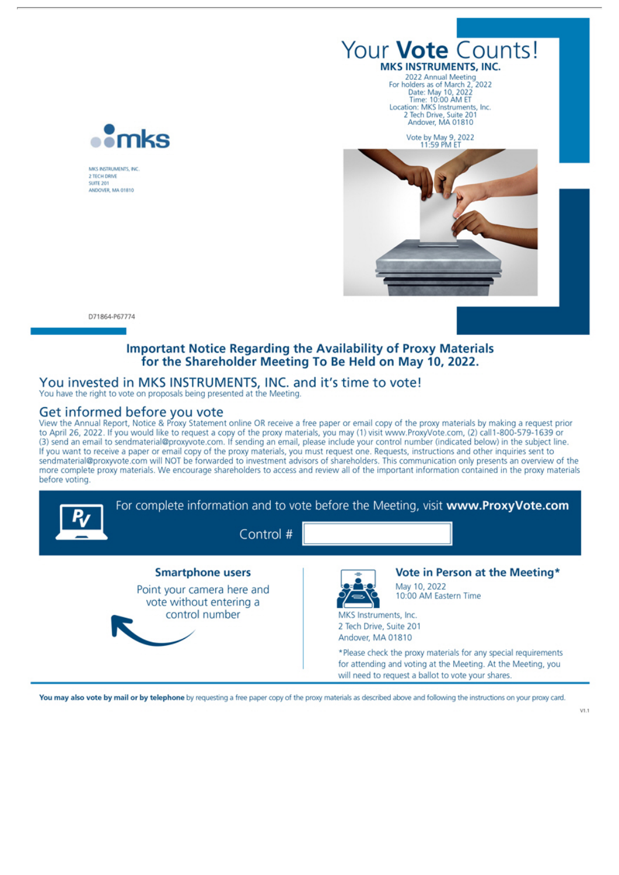



MKS INSTRUMENTS, INC.

D71864-P67774

axk

### **Important Notice Regarding the Availability of Proxy Materials** for the Shareholder Meeting To Be Held on May 10, 2022.

#### You invested in MKS INSTRUMENTS, INC. and it's time to vote!

You have the right to vote on proposals being presented at the Meeting.

#### Get informed before you vote

View the Annual Report, Notice & Proxy Statement online OR receive a free paper or email copy of the proxy materials by making a request prior to April 26, 2022. If you would like to request a copy of the proxy materials, you may (1) visit www.ProxyVote.com, (2) call1-800-579-1639 or<br>(3) send an email to sendmaterial@proxyvote.com. If sending an email, please inc If you want to receive a paper or email copy of the proxy materials, you must request one. Requests, instructions and other inquiries sent to sendmaterial@proxyvote.com will NOT be forwarded to investment advisors of shareholders. This communication only presents an overview of the more complete proxy materials. We encourage shareholders to access and review all of the important information contained in the proxy materials before voting.



You may also vote by mail or by telephone by requesting a free paper copy of the proxy materials as described above and following the instructions on your proxy card.

 $V1.1$